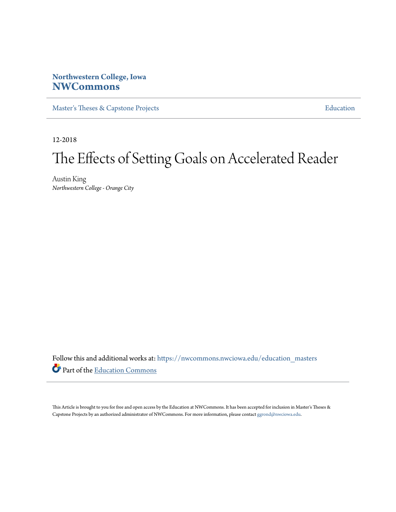# **Northwestern College, Iowa [NWCommons](https://nwcommons.nwciowa.edu?utm_source=nwcommons.nwciowa.edu%2Feducation_masters%2F100&utm_medium=PDF&utm_campaign=PDFCoverPages)**

[Master's Theses & Capstone Projects](https://nwcommons.nwciowa.edu/education_masters?utm_source=nwcommons.nwciowa.edu%2Feducation_masters%2F100&utm_medium=PDF&utm_campaign=PDFCoverPages) **[Education](https://nwcommons.nwciowa.edu/education?utm_source=nwcommons.nwciowa.edu%2Feducation_masters%2F100&utm_medium=PDF&utm_campaign=PDFCoverPages)** 

12-2018

# The Effects of Setting Goals on Accelerated Reader

Austin King *Northwestern College - Orange City*

Follow this and additional works at: [https://nwcommons.nwciowa.edu/education\\_masters](https://nwcommons.nwciowa.edu/education_masters?utm_source=nwcommons.nwciowa.edu%2Feducation_masters%2F100&utm_medium=PDF&utm_campaign=PDFCoverPages) Part of the [Education Commons](http://network.bepress.com/hgg/discipline/784?utm_source=nwcommons.nwciowa.edu%2Feducation_masters%2F100&utm_medium=PDF&utm_campaign=PDFCoverPages)

This Article is brought to you for free and open access by the Education at NWCommons. It has been accepted for inclusion in Master's Theses & Capstone Projects by an authorized administrator of NWCommons. For more information, please contact [ggrond@nwciowa.edu.](mailto:ggrond@nwciowa.edu)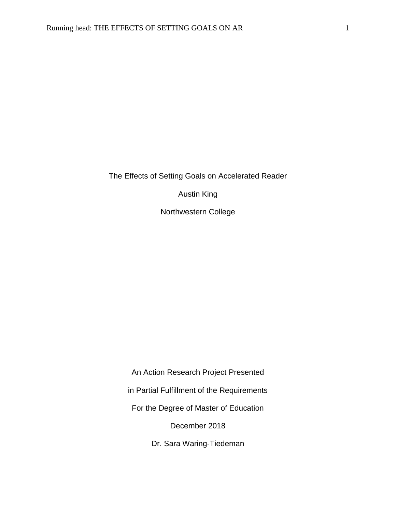The Effects of Setting Goals on Accelerated Reader

Austin King

Northwestern College

An Action Research Project Presented

in Partial Fulfillment of the Requirements

For the Degree of Master of Education

December 2018

Dr. Sara Waring-Tiedeman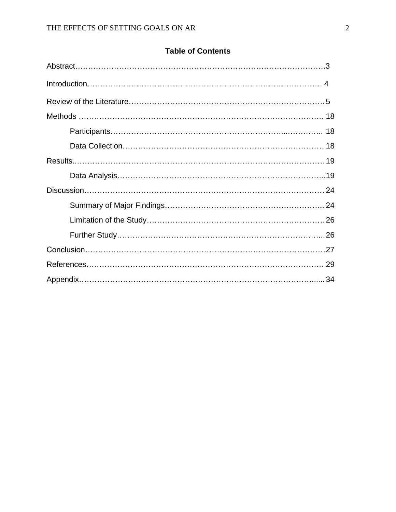# **Table of Contents**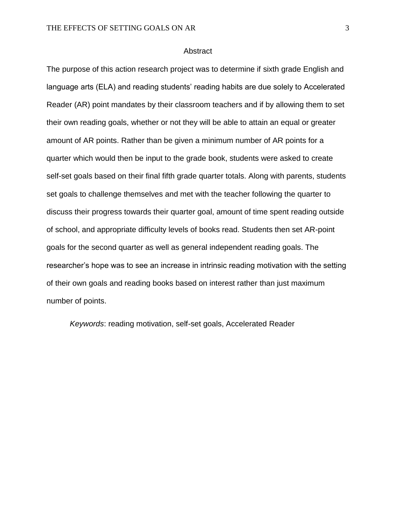#### **Abstract**

The purpose of this action research project was to determine if sixth grade English and language arts (ELA) and reading students' reading habits are due solely to Accelerated Reader (AR) point mandates by their classroom teachers and if by allowing them to set their own reading goals, whether or not they will be able to attain an equal or greater amount of AR points. Rather than be given a minimum number of AR points for a quarter which would then be input to the grade book, students were asked to create self-set goals based on their final fifth grade quarter totals. Along with parents, students set goals to challenge themselves and met with the teacher following the quarter to discuss their progress towards their quarter goal, amount of time spent reading outside of school, and appropriate difficulty levels of books read. Students then set AR-point goals for the second quarter as well as general independent reading goals. The researcher's hope was to see an increase in intrinsic reading motivation with the setting of their own goals and reading books based on interest rather than just maximum number of points.

*Keywords*: reading motivation, self-set goals, Accelerated Reader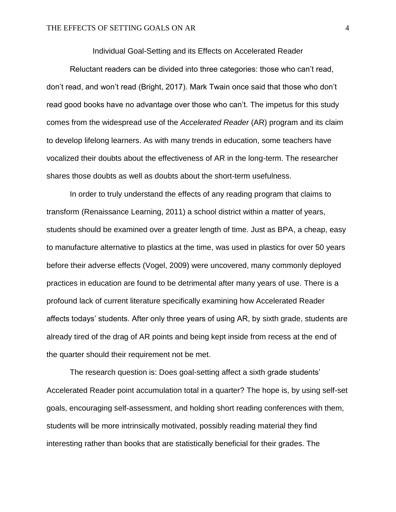Individual Goal-Setting and its Effects on Accelerated Reader

Reluctant readers can be divided into three categories: those who can't read, don't read, and won't read (Bright, 2017). Mark Twain once said that those who don't read good books have no advantage over those who can't. The impetus for this study comes from the widespread use of the *Accelerated Reader* (AR) program and its claim to develop lifelong learners. As with many trends in education, some teachers have vocalized their doubts about the effectiveness of AR in the long-term. The researcher shares those doubts as well as doubts about the short-term usefulness.

In order to truly understand the effects of any reading program that claims to transform (Renaissance Learning, 2011) a school district within a matter of years, students should be examined over a greater length of time. Just as BPA, a cheap, easy to manufacture alternative to plastics at the time, was used in plastics for over 50 years before their adverse effects (Vogel, 2009) were uncovered, many commonly deployed practices in education are found to be detrimental after many years of use. There is a profound lack of current literature specifically examining how Accelerated Reader affects todays' students. After only three years of using AR, by sixth grade, students are already tired of the drag of AR points and being kept inside from recess at the end of the quarter should their requirement not be met.

The research question is: Does goal-setting affect a sixth grade students' Accelerated Reader point accumulation total in a quarter? The hope is, by using self-set goals, encouraging self-assessment, and holding short reading conferences with them, students will be more intrinsically motivated, possibly reading material they find interesting rather than books that are statistically beneficial for their grades. The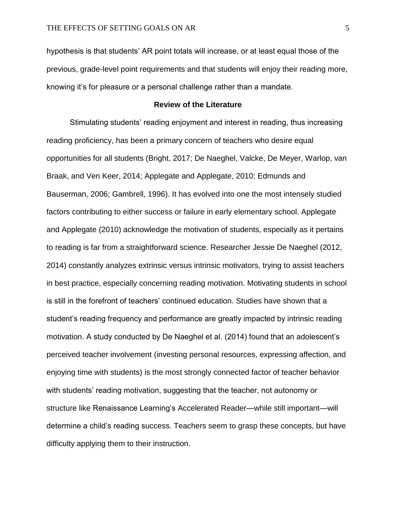hypothesis is that students' AR point totals will increase, or at least equal those of the previous, grade-level point requirements and that students will enjoy their reading more, knowing it's for pleasure or a personal challenge rather than a mandate.

# **Review of the Literature**

Stimulating students' reading enjoyment and interest in reading, thus increasing reading proficiency, has been a primary concern of teachers who desire equal opportunities for all students (Bright, 2017; De Naeghel, Valcke, De Meyer, Warlop, van Braak, and Ven Keer, 2014; Applegate and Applegate, 2010; Edmunds and Bauserman, 2006; Gambrell, 1996). It has evolved into one the most intensely studied factors contributing to either success or failure in early elementary school. Applegate and Applegate (2010) acknowledge the motivation of students, especially as it pertains to reading is far from a straightforward science. Researcher Jessie De Naeghel (2012, 2014) constantly analyzes extrinsic versus intrinsic motivators, trying to assist teachers in best practice, especially concerning reading motivation. Motivating students in school is still in the forefront of teachers' continued education. Studies have shown that a student's reading frequency and performance are greatly impacted by intrinsic reading motivation. A study conducted by De Naeghel et al. (2014) found that an adolescent's perceived teacher involvement (investing personal resources, expressing affection, and enjoying time with students) is the most strongly connected factor of teacher behavior with students' reading motivation, suggesting that the teacher, not autonomy or structure like Renaissance Learning's Accelerated Reader—while still important—will determine a child's reading success. Teachers seem to grasp these concepts, but have difficulty applying them to their instruction.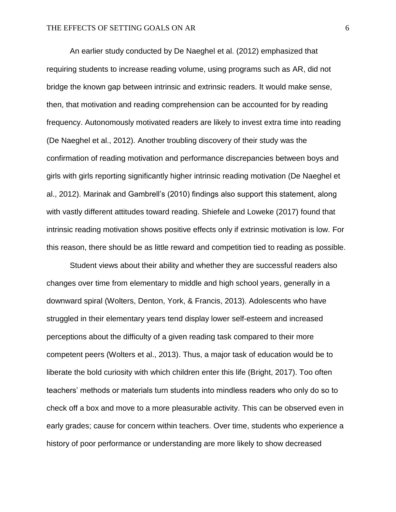An earlier study conducted by De Naeghel et al. (2012) emphasized that requiring students to increase reading volume, using programs such as AR, did not bridge the known gap between intrinsic and extrinsic readers. It would make sense, then, that motivation and reading comprehension can be accounted for by reading frequency. Autonomously motivated readers are likely to invest extra time into reading (De Naeghel et al., 2012). Another troubling discovery of their study was the confirmation of reading motivation and performance discrepancies between boys and girls with girls reporting significantly higher intrinsic reading motivation (De Naeghel et al., 2012). Marinak and Gambrell's (2010) findings also support this statement, along with vastly different attitudes toward reading. Shiefele and Loweke (2017) found that intrinsic reading motivation shows positive effects only if extrinsic motivation is low. For this reason, there should be as little reward and competition tied to reading as possible.

Student views about their ability and whether they are successful readers also changes over time from elementary to middle and high school years, generally in a downward spiral (Wolters, Denton, York, & Francis, 2013). Adolescents who have struggled in their elementary years tend display lower self-esteem and increased perceptions about the difficulty of a given reading task compared to their more competent peers (Wolters et al., 2013). Thus, a major task of education would be to liberate the bold curiosity with which children enter this life (Bright, 2017). Too often teachers' methods or materials turn students into mindless readers who only do so to check off a box and move to a more pleasurable activity. This can be observed even in early grades; cause for concern within teachers. Over time, students who experience a history of poor performance or understanding are more likely to show decreased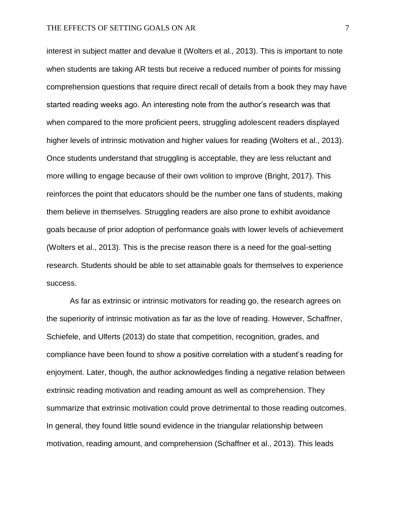interest in subject matter and devalue it (Wolters et al., 2013). This is important to note when students are taking AR tests but receive a reduced number of points for missing comprehension questions that require direct recall of details from a book they may have started reading weeks ago. An interesting note from the author's research was that when compared to the more proficient peers, struggling adolescent readers displayed higher levels of intrinsic motivation and higher values for reading (Wolters et al., 2013). Once students understand that struggling is acceptable, they are less reluctant and more willing to engage because of their own volition to improve (Bright, 2017). This reinforces the point that educators should be the number one fans of students, making them believe in themselves. Struggling readers are also prone to exhibit avoidance goals because of prior adoption of performance goals with lower levels of achievement (Wolters et al., 2013). This is the precise reason there is a need for the goal-setting research. Students should be able to set attainable goals for themselves to experience success.

As far as extrinsic or intrinsic motivators for reading go, the research agrees on the superiority of intrinsic motivation as far as the love of reading. However, Schaffner, Schiefele, and Ulferts (2013) do state that competition, recognition, grades, and compliance have been found to show a positive correlation with a student's reading for enjoyment. Later, though, the author acknowledges finding a negative relation between extrinsic reading motivation and reading amount as well as comprehension. They summarize that extrinsic motivation could prove detrimental to those reading outcomes. In general, they found little sound evidence in the triangular relationship between motivation, reading amount, and comprehension (Schaffner et al., 2013). This leads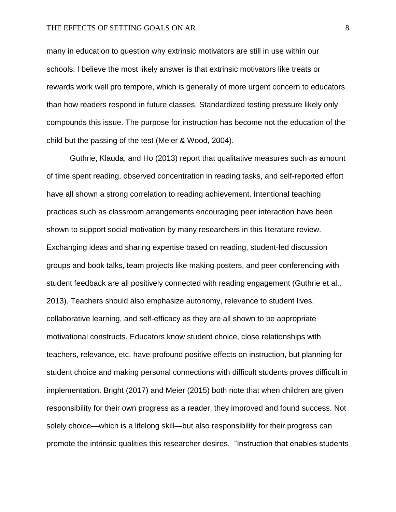many in education to question why extrinsic motivators are still in use within our schools. I believe the most likely answer is that extrinsic motivators like treats or rewards work well pro tempore, which is generally of more urgent concern to educators than how readers respond in future classes. Standardized testing pressure likely only compounds this issue. The purpose for instruction has become not the education of the child but the passing of the test (Meier & Wood, 2004).

Guthrie, Klauda, and Ho (2013) report that qualitative measures such as amount of time spent reading, observed concentration in reading tasks, and self-reported effort have all shown a strong correlation to reading achievement. Intentional teaching practices such as classroom arrangements encouraging peer interaction have been shown to support social motivation by many researchers in this literature review. Exchanging ideas and sharing expertise based on reading, student-led discussion groups and book talks, team projects like making posters, and peer conferencing with student feedback are all positively connected with reading engagement (Guthrie et al., 2013). Teachers should also emphasize autonomy, relevance to student lives, collaborative learning, and self-efficacy as they are all shown to be appropriate motivational constructs. Educators know student choice, close relationships with teachers, relevance, etc. have profound positive effects on instruction, but planning for student choice and making personal connections with difficult students proves difficult in implementation. Bright (2017) and Meier (2015) both note that when children are given responsibility for their own progress as a reader, they improved and found success. Not solely choice—which is a lifelong skill—but also responsibility for their progress can promote the intrinsic qualities this researcher desires. "Instruction that enables students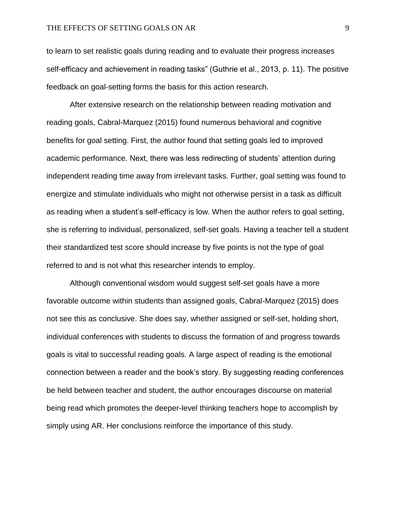to learn to set realistic goals during reading and to evaluate their progress increases self-efficacy and achievement in reading tasks" (Guthrie et al., 2013, p. 11). The positive feedback on goal-setting forms the basis for this action research.

After extensive research on the relationship between reading motivation and reading goals, Cabral-Marquez (2015) found numerous behavioral and cognitive benefits for goal setting. First, the author found that setting goals led to improved academic performance. Next, there was less redirecting of students' attention during independent reading time away from irrelevant tasks. Further, goal setting was found to energize and stimulate individuals who might not otherwise persist in a task as difficult as reading when a student's self-efficacy is low. When the author refers to goal setting, she is referring to individual, personalized, self-set goals. Having a teacher tell a student their standardized test score should increase by five points is not the type of goal referred to and is not what this researcher intends to employ.

Although conventional wisdom would suggest self-set goals have a more favorable outcome within students than assigned goals, Cabral-Marquez (2015) does not see this as conclusive. She does say, whether assigned or self-set, holding short, individual conferences with students to discuss the formation of and progress towards goals is vital to successful reading goals. A large aspect of reading is the emotional connection between a reader and the book's story. By suggesting reading conferences be held between teacher and student, the author encourages discourse on material being read which promotes the deeper-level thinking teachers hope to accomplish by simply using AR. Her conclusions reinforce the importance of this study.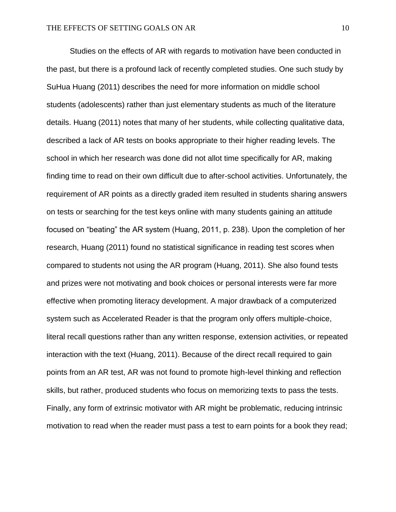Studies on the effects of AR with regards to motivation have been conducted in the past, but there is a profound lack of recently completed studies. One such study by SuHua Huang (2011) describes the need for more information on middle school students (adolescents) rather than just elementary students as much of the literature details. Huang (2011) notes that many of her students, while collecting qualitative data, described a lack of AR tests on books appropriate to their higher reading levels. The school in which her research was done did not allot time specifically for AR, making finding time to read on their own difficult due to after-school activities. Unfortunately, the requirement of AR points as a directly graded item resulted in students sharing answers on tests or searching for the test keys online with many students gaining an attitude focused on "beating" the AR system (Huang, 2011, p. 238). Upon the completion of her research, Huang (2011) found no statistical significance in reading test scores when compared to students not using the AR program (Huang, 2011). She also found tests and prizes were not motivating and book choices or personal interests were far more effective when promoting literacy development. A major drawback of a computerized system such as Accelerated Reader is that the program only offers multiple-choice, literal recall questions rather than any written response, extension activities, or repeated interaction with the text (Huang, 2011). Because of the direct recall required to gain points from an AR test, AR was not found to promote high-level thinking and reflection skills, but rather, produced students who focus on memorizing texts to pass the tests. Finally, any form of extrinsic motivator with AR might be problematic, reducing intrinsic motivation to read when the reader must pass a test to earn points for a book they read;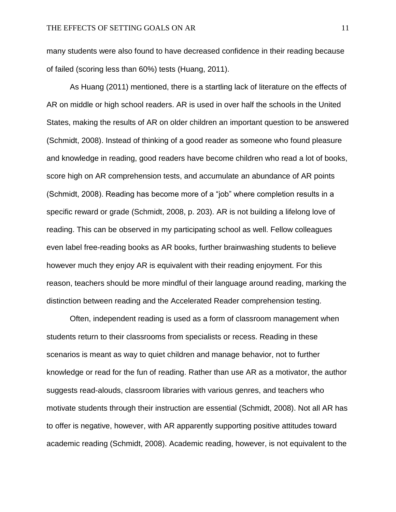many students were also found to have decreased confidence in their reading because of failed (scoring less than 60%) tests (Huang, 2011).

As Huang (2011) mentioned, there is a startling lack of literature on the effects of AR on middle or high school readers. AR is used in over half the schools in the United States, making the results of AR on older children an important question to be answered (Schmidt, 2008). Instead of thinking of a good reader as someone who found pleasure and knowledge in reading, good readers have become children who read a lot of books, score high on AR comprehension tests, and accumulate an abundance of AR points (Schmidt, 2008). Reading has become more of a "job" where completion results in a specific reward or grade (Schmidt, 2008, p. 203). AR is not building a lifelong love of reading. This can be observed in my participating school as well. Fellow colleagues even label free-reading books as AR books, further brainwashing students to believe however much they enjoy AR is equivalent with their reading enjoyment. For this reason, teachers should be more mindful of their language around reading, marking the distinction between reading and the Accelerated Reader comprehension testing.

Often, independent reading is used as a form of classroom management when students return to their classrooms from specialists or recess. Reading in these scenarios is meant as way to quiet children and manage behavior, not to further knowledge or read for the fun of reading. Rather than use AR as a motivator, the author suggests read-alouds, classroom libraries with various genres, and teachers who motivate students through their instruction are essential (Schmidt, 2008). Not all AR has to offer is negative, however, with AR apparently supporting positive attitudes toward academic reading (Schmidt, 2008). Academic reading, however, is not equivalent to the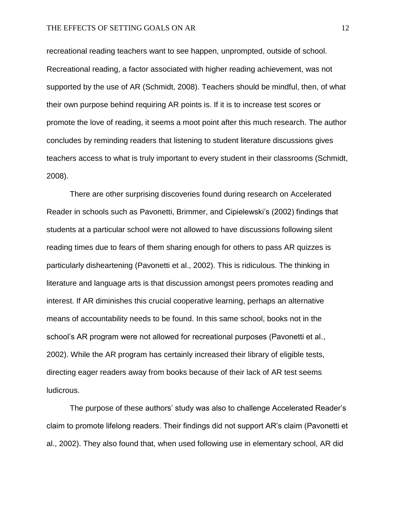recreational reading teachers want to see happen, unprompted, outside of school. Recreational reading, a factor associated with higher reading achievement, was not supported by the use of AR (Schmidt, 2008). Teachers should be mindful, then, of what their own purpose behind requiring AR points is. If it is to increase test scores or promote the love of reading, it seems a moot point after this much research. The author concludes by reminding readers that listening to student literature discussions gives teachers access to what is truly important to every student in their classrooms (Schmidt, 2008).

There are other surprising discoveries found during research on Accelerated Reader in schools such as Pavonetti, Brimmer, and Cipielewski's (2002) findings that students at a particular school were not allowed to have discussions following silent reading times due to fears of them sharing enough for others to pass AR quizzes is particularly disheartening (Pavonetti et al., 2002). This is ridiculous. The thinking in literature and language arts is that discussion amongst peers promotes reading and interest. If AR diminishes this crucial cooperative learning, perhaps an alternative means of accountability needs to be found. In this same school, books not in the school's AR program were not allowed for recreational purposes (Pavonetti et al., 2002). While the AR program has certainly increased their library of eligible tests, directing eager readers away from books because of their lack of AR test seems ludicrous.

The purpose of these authors' study was also to challenge Accelerated Reader's claim to promote lifelong readers. Their findings did not support AR's claim (Pavonetti et al., 2002). They also found that, when used following use in elementary school, AR did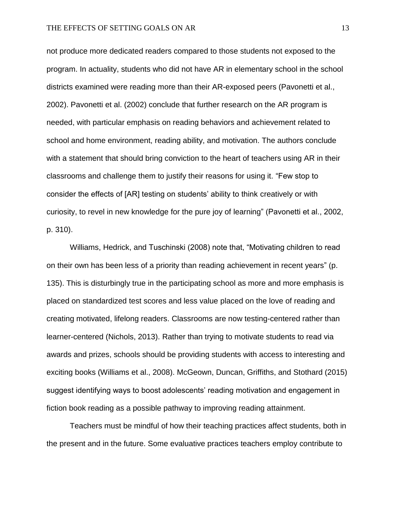not produce more dedicated readers compared to those students not exposed to the program. In actuality, students who did not have AR in elementary school in the school districts examined were reading more than their AR-exposed peers (Pavonetti et al., 2002). Pavonetti et al. (2002) conclude that further research on the AR program is needed, with particular emphasis on reading behaviors and achievement related to school and home environment, reading ability, and motivation. The authors conclude with a statement that should bring conviction to the heart of teachers using AR in their classrooms and challenge them to justify their reasons for using it. "Few stop to consider the effects of [AR] testing on students' ability to think creatively or with curiosity, to revel in new knowledge for the pure joy of learning" (Pavonetti et al., 2002, p. 310).

Williams, Hedrick, and Tuschinski (2008) note that, "Motivating children to read on their own has been less of a priority than reading achievement in recent years" (p. 135). This is disturbingly true in the participating school as more and more emphasis is placed on standardized test scores and less value placed on the love of reading and creating motivated, lifelong readers. Classrooms are now testing-centered rather than learner-centered (Nichols, 2013). Rather than trying to motivate students to read via awards and prizes, schools should be providing students with access to interesting and exciting books (Williams et al., 2008). McGeown, Duncan, Griffiths, and Stothard (2015) suggest identifying ways to boost adolescents' reading motivation and engagement in fiction book reading as a possible pathway to improving reading attainment.

Teachers must be mindful of how their teaching practices affect students, both in the present and in the future. Some evaluative practices teachers employ contribute to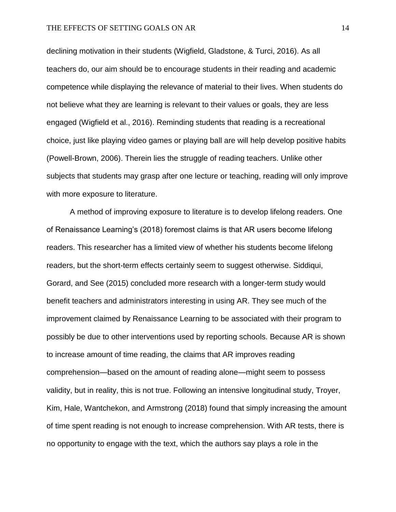declining motivation in their students (Wigfield, Gladstone, & Turci, 2016). As all teachers do, our aim should be to encourage students in their reading and academic competence while displaying the relevance of material to their lives. When students do not believe what they are learning is relevant to their values or goals, they are less engaged (Wigfield et al., 2016). Reminding students that reading is a recreational choice, just like playing video games or playing ball are will help develop positive habits (Powell-Brown, 2006). Therein lies the struggle of reading teachers. Unlike other subjects that students may grasp after one lecture or teaching, reading will only improve with more exposure to literature.

A method of improving exposure to literature is to develop lifelong readers. One of Renaissance Learning's (2018) foremost claims is that AR users become lifelong readers. This researcher has a limited view of whether his students become lifelong readers, but the short-term effects certainly seem to suggest otherwise. Siddiqui, Gorard, and See (2015) concluded more research with a longer-term study would benefit teachers and administrators interesting in using AR. They see much of the improvement claimed by Renaissance Learning to be associated with their program to possibly be due to other interventions used by reporting schools. Because AR is shown to increase amount of time reading, the claims that AR improves reading comprehension—based on the amount of reading alone—might seem to possess validity, but in reality, this is not true. Following an intensive longitudinal study, Troyer, Kim, Hale, Wantchekon, and Armstrong (2018) found that simply increasing the amount of time spent reading is not enough to increase comprehension. With AR tests, there is no opportunity to engage with the text, which the authors say plays a role in the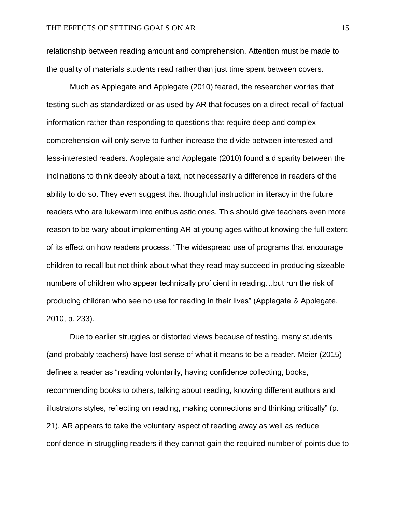relationship between reading amount and comprehension. Attention must be made to the quality of materials students read rather than just time spent between covers.

Much as Applegate and Applegate (2010) feared, the researcher worries that testing such as standardized or as used by AR that focuses on a direct recall of factual information rather than responding to questions that require deep and complex comprehension will only serve to further increase the divide between interested and less-interested readers. Applegate and Applegate (2010) found a disparity between the inclinations to think deeply about a text, not necessarily a difference in readers of the ability to do so. They even suggest that thoughtful instruction in literacy in the future readers who are lukewarm into enthusiastic ones. This should give teachers even more reason to be wary about implementing AR at young ages without knowing the full extent of its effect on how readers process. "The widespread use of programs that encourage children to recall but not think about what they read may succeed in producing sizeable numbers of children who appear technically proficient in reading…but run the risk of producing children who see no use for reading in their lives" (Applegate & Applegate, 2010, p. 233).

Due to earlier struggles or distorted views because of testing, many students (and probably teachers) have lost sense of what it means to be a reader. Meier (2015) defines a reader as "reading voluntarily, having confidence collecting, books, recommending books to others, talking about reading, knowing different authors and illustrators styles, reflecting on reading, making connections and thinking critically" (p. 21). AR appears to take the voluntary aspect of reading away as well as reduce confidence in struggling readers if they cannot gain the required number of points due to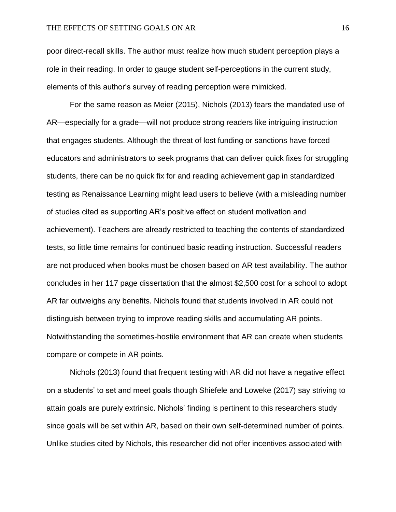poor direct-recall skills. The author must realize how much student perception plays a role in their reading. In order to gauge student self-perceptions in the current study, elements of this author's survey of reading perception were mimicked.

For the same reason as Meier (2015), Nichols (2013) fears the mandated use of AR—especially for a grade—will not produce strong readers like intriguing instruction that engages students. Although the threat of lost funding or sanctions have forced educators and administrators to seek programs that can deliver quick fixes for struggling students, there can be no quick fix for and reading achievement gap in standardized testing as Renaissance Learning might lead users to believe (with a misleading number of studies cited as supporting AR's positive effect on student motivation and achievement). Teachers are already restricted to teaching the contents of standardized tests, so little time remains for continued basic reading instruction. Successful readers are not produced when books must be chosen based on AR test availability. The author concludes in her 117 page dissertation that the almost \$2,500 cost for a school to adopt AR far outweighs any benefits. Nichols found that students involved in AR could not distinguish between trying to improve reading skills and accumulating AR points. Notwithstanding the sometimes-hostile environment that AR can create when students compare or compete in AR points.

Nichols (2013) found that frequent testing with AR did not have a negative effect on a students' to set and meet goals though Shiefele and Loweke (2017) say striving to attain goals are purely extrinsic. Nichols' finding is pertinent to this researchers study since goals will be set within AR, based on their own self-determined number of points. Unlike studies cited by Nichols, this researcher did not offer incentives associated with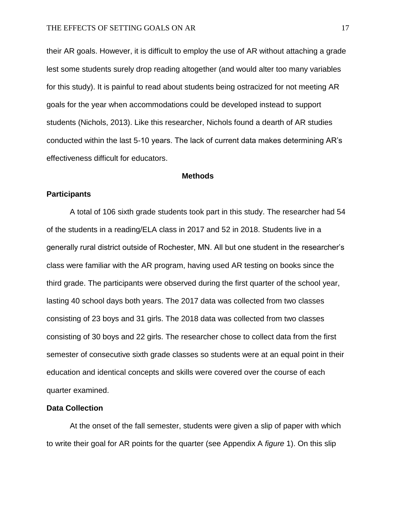their AR goals. However, it is difficult to employ the use of AR without attaching a grade lest some students surely drop reading altogether (and would alter too many variables for this study). It is painful to read about students being ostracized for not meeting AR goals for the year when accommodations could be developed instead to support students (Nichols, 2013). Like this researcher, Nichols found a dearth of AR studies conducted within the last 5-10 years. The lack of current data makes determining AR's effectiveness difficult for educators.

#### **Methods**

# **Participants**

A total of 106 sixth grade students took part in this study. The researcher had 54 of the students in a reading/ELA class in 2017 and 52 in 2018. Students live in a generally rural district outside of Rochester, MN. All but one student in the researcher's class were familiar with the AR program, having used AR testing on books since the third grade. The participants were observed during the first quarter of the school year, lasting 40 school days both years. The 2017 data was collected from two classes consisting of 23 boys and 31 girls. The 2018 data was collected from two classes consisting of 30 boys and 22 girls. The researcher chose to collect data from the first semester of consecutive sixth grade classes so students were at an equal point in their education and identical concepts and skills were covered over the course of each quarter examined.

# **Data Collection**

At the onset of the fall semester, students were given a slip of paper with which to write their goal for AR points for the quarter (see Appendix A *figure* 1). On this slip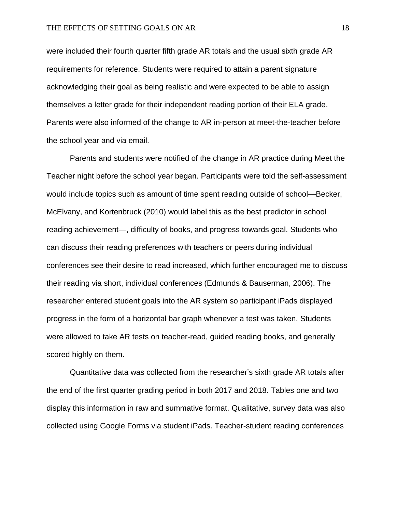were included their fourth quarter fifth grade AR totals and the usual sixth grade AR requirements for reference. Students were required to attain a parent signature acknowledging their goal as being realistic and were expected to be able to assign themselves a letter grade for their independent reading portion of their ELA grade. Parents were also informed of the change to AR in-person at meet-the-teacher before the school year and via email.

Parents and students were notified of the change in AR practice during Meet the Teacher night before the school year began. Participants were told the self-assessment would include topics such as amount of time spent reading outside of school—Becker, McElvany, and Kortenbruck (2010) would label this as the best predictor in school reading achievement—, difficulty of books, and progress towards goal. Students who can discuss their reading preferences with teachers or peers during individual conferences see their desire to read increased, which further encouraged me to discuss their reading via short, individual conferences (Edmunds & Bauserman, 2006). The researcher entered student goals into the AR system so participant iPads displayed progress in the form of a horizontal bar graph whenever a test was taken. Students were allowed to take AR tests on teacher-read, guided reading books, and generally scored highly on them.

Quantitative data was collected from the researcher's sixth grade AR totals after the end of the first quarter grading period in both 2017 and 2018. Tables one and two display this information in raw and summative format. Qualitative, survey data was also collected using Google Forms via student iPads. Teacher-student reading conferences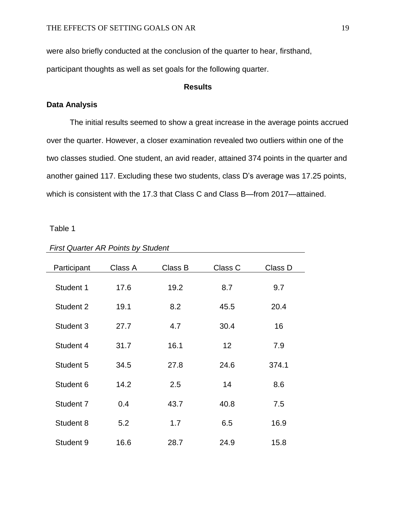were also briefly conducted at the conclusion of the quarter to hear, firsthand,

participant thoughts as well as set goals for the following quarter.

# **Results**

# **Data Analysis**

The initial results seemed to show a great increase in the average points accrued over the quarter. However, a closer examination revealed two outliers within one of the two classes studied. One student, an avid reader, attained 374 points in the quarter and another gained 117. Excluding these two students, class D's average was 17.25 points, which is consistent with the 17.3 that Class C and Class B—from 2017—attained.

Table 1

| Participant | Class A | Class B | Class C | Class D |
|-------------|---------|---------|---------|---------|
|             |         |         |         |         |
| Student 1   | 17.6    | 19.2    | 8.7     | 9.7     |
| Student 2   | 19.1    | 8.2     | 45.5    | 20.4    |
| Student 3   | 27.7    | 4.7     | 30.4    | 16      |
| Student 4   | 31.7    | 16.1    | 12      | 7.9     |
| Student 5   | 34.5    | 27.8    | 24.6    | 374.1   |
| Student 6   | 14.2    | 2.5     | 14      | 8.6     |
| Student 7   | 0.4     | 43.7    | 40.8    | 7.5     |
| Student 8   | 5.2     | 1.7     | 6.5     | 16.9    |
| Student 9   | 16.6    | 28.7    | 24.9    | 15.8    |

*First Quarter AR Points by Student*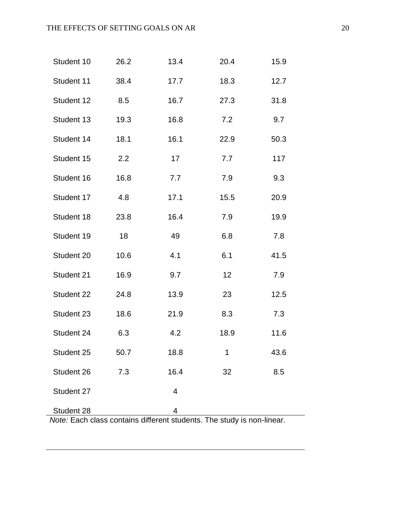| Student 10 | 26.2 | 13.4                                                                        | 20.4 | 15.9 |
|------------|------|-----------------------------------------------------------------------------|------|------|
| Student 11 | 38.4 | 17.7                                                                        | 18.3 | 12.7 |
| Student 12 | 8.5  | 16.7                                                                        | 27.3 | 31.8 |
| Student 13 | 19.3 | 16.8                                                                        | 7.2  | 9.7  |
| Student 14 | 18.1 | 16.1                                                                        | 22.9 | 50.3 |
| Student 15 | 2.2  | 17                                                                          | 7.7  | 117  |
| Student 16 | 16.8 | 7.7                                                                         | 7.9  | 9.3  |
| Student 17 | 4.8  | 17.1                                                                        | 15.5 | 20.9 |
| Student 18 | 23.8 | 16.4                                                                        | 7.9  | 19.9 |
| Student 19 | 18   | 49                                                                          | 6.8  | 7.8  |
| Student 20 | 10.6 | 4.1                                                                         | 6.1  | 41.5 |
| Student 21 | 16.9 | 9.7                                                                         | 12   | 7.9  |
| Student 22 | 24.8 | 13.9                                                                        | 23   | 12.5 |
| Student 23 | 18.6 | 21.9                                                                        | 8.3  | 7.3  |
| Student 24 | 6.3  | 4.2                                                                         | 18.9 | 11.6 |
| Student 25 | 50.7 | 18.8                                                                        | 1    | 43.6 |
| Student 26 | 7.3  | 16.4                                                                        | 32   | 8.5  |
| Student 27 |      | 4                                                                           |      |      |
| Student 28 |      | 4<br>Note: Each class contains different students. The study is non-linear. |      |      |

*Note:* Each class contains different students. The study is non-linear.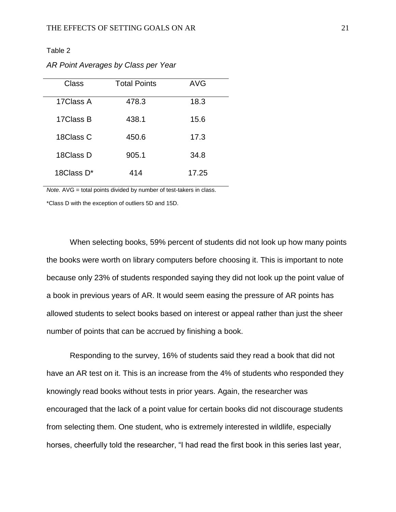# Table 2

*AR Point Averages by Class per Year*

| Class      | <b>Total Points</b> | <b>AVG</b> |
|------------|---------------------|------------|
| 17Class A  | 478.3               | 18.3       |
| 17Class B  | 438.1               | 15.6       |
| 18Class C  | 450.6               | 17.3       |
| 18Class D  | 905.1               | 34.8       |
| 18Class D* | 414                 | 17.25      |

*Note.* AVG = total points divided by number of test-takers in class.

\*Class D with the exception of outliers 5D and 15D.

When selecting books, 59% percent of students did not look up how many points the books were worth on library computers before choosing it. This is important to note because only 23% of students responded saying they did not look up the point value of a book in previous years of AR. It would seem easing the pressure of AR points has allowed students to select books based on interest or appeal rather than just the sheer number of points that can be accrued by finishing a book.

Responding to the survey, 16% of students said they read a book that did not have an AR test on it. This is an increase from the 4% of students who responded they knowingly read books without tests in prior years. Again, the researcher was encouraged that the lack of a point value for certain books did not discourage students from selecting them. One student, who is extremely interested in wildlife, especially horses, cheerfully told the researcher, "I had read the first book in this series last year,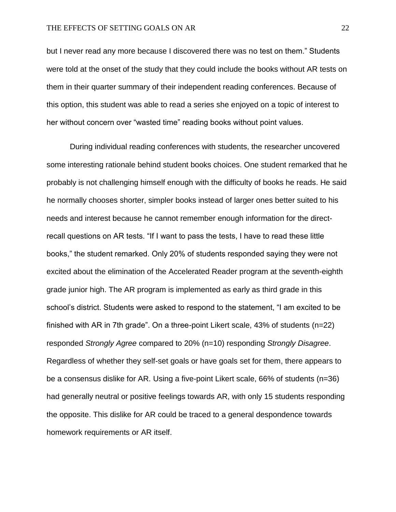but I never read any more because I discovered there was no test on them." Students were told at the onset of the study that they could include the books without AR tests on them in their quarter summary of their independent reading conferences. Because of this option, this student was able to read a series she enjoyed on a topic of interest to her without concern over "wasted time" reading books without point values.

During individual reading conferences with students, the researcher uncovered some interesting rationale behind student books choices. One student remarked that he probably is not challenging himself enough with the difficulty of books he reads. He said he normally chooses shorter, simpler books instead of larger ones better suited to his needs and interest because he cannot remember enough information for the directrecall questions on AR tests. "If I want to pass the tests, I have to read these little books," the student remarked. Only 20% of students responded saying they were not excited about the elimination of the Accelerated Reader program at the seventh-eighth grade junior high. The AR program is implemented as early as third grade in this school's district. Students were asked to respond to the statement, "I am excited to be finished with AR in 7th grade". On a three-point Likert scale, 43% of students (n=22) responded *Strongly Agree* compared to 20% (n=10) responding *Strongly Disagree*. Regardless of whether they self-set goals or have goals set for them, there appears to be a consensus dislike for AR. Using a five-point Likert scale, 66% of students (n=36) had generally neutral or positive feelings towards AR, with only 15 students responding the opposite. This dislike for AR could be traced to a general despondence towards homework requirements or AR itself.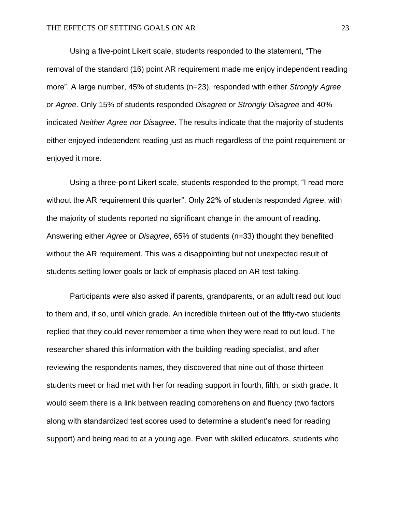Using a five-point Likert scale, students responded to the statement, "The removal of the standard (16) point AR requirement made me enjoy independent reading more". A large number, 45% of students (n=23), responded with either *Strongly Agree* or *Agree*. Only 15% of students responded *Disagree* or *Strongly Disagree* and 40% indicated *Neither Agree nor Disagree*. The results indicate that the majority of students either enjoyed independent reading just as much regardless of the point requirement or enjoyed it more.

Using a three-point Likert scale, students responded to the prompt, "I read more without the AR requirement this quarter". Only 22% of students responded *Agree*, with the majority of students reported no significant change in the amount of reading. Answering either *Agree* or *Disagree*, 65% of students (n=33) thought they benefited without the AR requirement. This was a disappointing but not unexpected result of students setting lower goals or lack of emphasis placed on AR test-taking.

Participants were also asked if parents, grandparents, or an adult read out loud to them and, if so, until which grade. An incredible thirteen out of the fifty-two students replied that they could never remember a time when they were read to out loud. The researcher shared this information with the building reading specialist, and after reviewing the respondents names, they discovered that nine out of those thirteen students meet or had met with her for reading support in fourth, fifth, or sixth grade. It would seem there is a link between reading comprehension and fluency (two factors along with standardized test scores used to determine a student's need for reading support) and being read to at a young age. Even with skilled educators, students who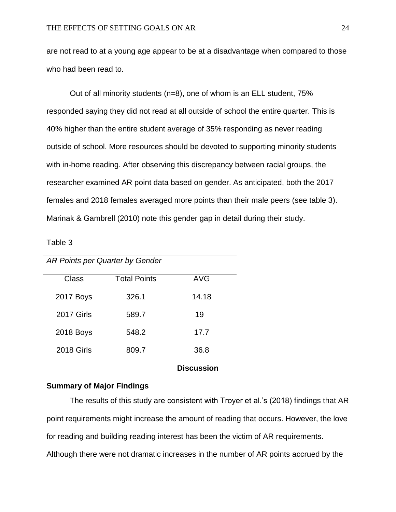are not read to at a young age appear to be at a disadvantage when compared to those who had been read to.

Out of all minority students (n=8), one of whom is an ELL student, 75% responded saying they did not read at all outside of school the entire quarter. This is 40% higher than the entire student average of 35% responding as never reading outside of school. More resources should be devoted to supporting minority students with in-home reading. After observing this discrepancy between racial groups, the researcher examined AR point data based on gender. As anticipated, both the 2017 females and 2018 females averaged more points than their male peers (see table 3). Marinak & Gambrell (2010) note this gender gap in detail during their study.

Table 3

| AR Points per Quarter by Gender |                     |            |
|---------------------------------|---------------------|------------|
| Class                           | <b>Total Points</b> | <b>AVG</b> |
| <b>2017 Boys</b>                | 326.1               | 14.18      |
| <b>2017 Girls</b>               | 589.7               | 19         |
| 2018 Boys                       | 548.2               | 17.7       |
| <b>2018 Girls</b>               | 809.7               | 36.8       |

# **Discussion**

# **Summary of Major Findings**

The results of this study are consistent with Troyer et al.'s (2018) findings that AR point requirements might increase the amount of reading that occurs. However, the love for reading and building reading interest has been the victim of AR requirements. Although there were not dramatic increases in the number of AR points accrued by the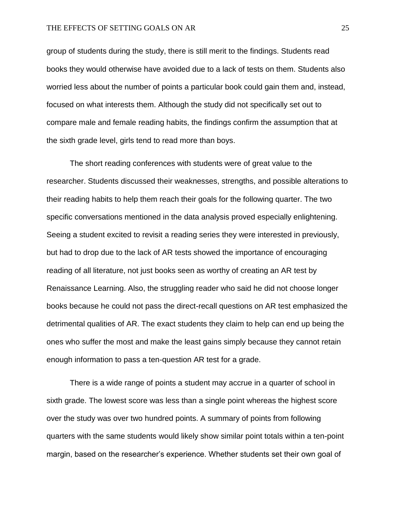group of students during the study, there is still merit to the findings. Students read books they would otherwise have avoided due to a lack of tests on them. Students also worried less about the number of points a particular book could gain them and, instead, focused on what interests them. Although the study did not specifically set out to compare male and female reading habits, the findings confirm the assumption that at the sixth grade level, girls tend to read more than boys.

The short reading conferences with students were of great value to the researcher. Students discussed their weaknesses, strengths, and possible alterations to their reading habits to help them reach their goals for the following quarter. The two specific conversations mentioned in the data analysis proved especially enlightening. Seeing a student excited to revisit a reading series they were interested in previously, but had to drop due to the lack of AR tests showed the importance of encouraging reading of all literature, not just books seen as worthy of creating an AR test by Renaissance Learning. Also, the struggling reader who said he did not choose longer books because he could not pass the direct-recall questions on AR test emphasized the detrimental qualities of AR. The exact students they claim to help can end up being the ones who suffer the most and make the least gains simply because they cannot retain enough information to pass a ten-question AR test for a grade.

There is a wide range of points a student may accrue in a quarter of school in sixth grade. The lowest score was less than a single point whereas the highest score over the study was over two hundred points. A summary of points from following quarters with the same students would likely show similar point totals within a ten-point margin, based on the researcher's experience. Whether students set their own goal of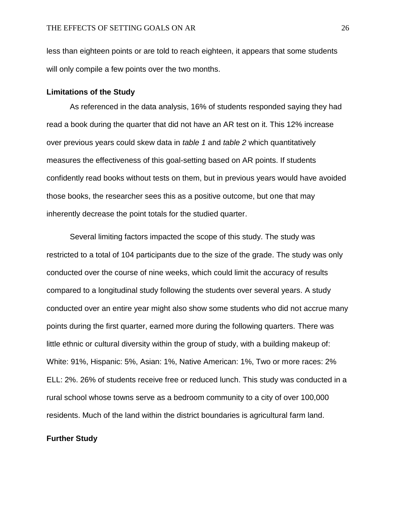less than eighteen points or are told to reach eighteen, it appears that some students will only compile a few points over the two months.

# **Limitations of the Study**

As referenced in the data analysis, 16% of students responded saying they had read a book during the quarter that did not have an AR test on it. This 12% increase over previous years could skew data in *table 1* and *table 2* which quantitatively measures the effectiveness of this goal-setting based on AR points. If students confidently read books without tests on them, but in previous years would have avoided those books, the researcher sees this as a positive outcome, but one that may inherently decrease the point totals for the studied quarter.

Several limiting factors impacted the scope of this study. The study was restricted to a total of 104 participants due to the size of the grade. The study was only conducted over the course of nine weeks, which could limit the accuracy of results compared to a longitudinal study following the students over several years. A study conducted over an entire year might also show some students who did not accrue many points during the first quarter, earned more during the following quarters. There was little ethnic or cultural diversity within the group of study, with a building makeup of: White: 91%, Hispanic: 5%, Asian: 1%, Native American: 1%, Two or more races: 2% ELL: 2%. 26% of students receive free or reduced lunch. This study was conducted in a rural school whose towns serve as a bedroom community to a city of over 100,000 residents. Much of the land within the district boundaries is agricultural farm land.

# **Further Study**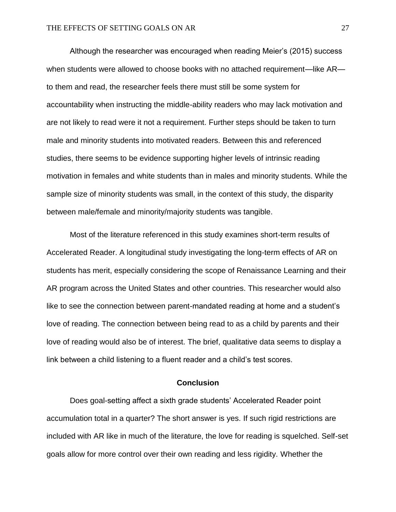Although the researcher was encouraged when reading Meier's (2015) success when students were allowed to choose books with no attached requirement—like AR to them and read, the researcher feels there must still be some system for accountability when instructing the middle-ability readers who may lack motivation and are not likely to read were it not a requirement. Further steps should be taken to turn male and minority students into motivated readers. Between this and referenced studies, there seems to be evidence supporting higher levels of intrinsic reading motivation in females and white students than in males and minority students. While the sample size of minority students was small, in the context of this study, the disparity between male/female and minority/majority students was tangible.

Most of the literature referenced in this study examines short-term results of Accelerated Reader. A longitudinal study investigating the long-term effects of AR on students has merit, especially considering the scope of Renaissance Learning and their AR program across the United States and other countries. This researcher would also like to see the connection between parent-mandated reading at home and a student's love of reading. The connection between being read to as a child by parents and their love of reading would also be of interest. The brief, qualitative data seems to display a link between a child listening to a fluent reader and a child's test scores.

# **Conclusion**

Does goal-setting affect a sixth grade students' Accelerated Reader point accumulation total in a quarter? The short answer is yes. If such rigid restrictions are included with AR like in much of the literature, the love for reading is squelched. Self-set goals allow for more control over their own reading and less rigidity. Whether the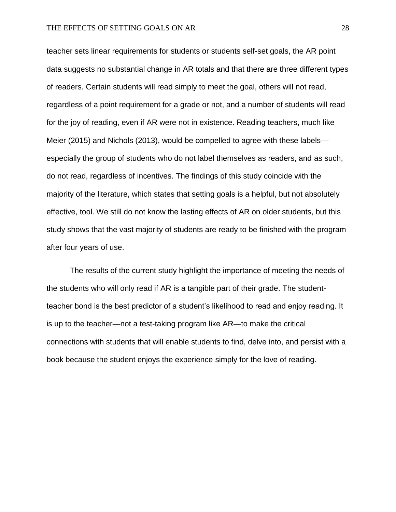teacher sets linear requirements for students or students self-set goals, the AR point data suggests no substantial change in AR totals and that there are three different types of readers. Certain students will read simply to meet the goal, others will not read, regardless of a point requirement for a grade or not, and a number of students will read for the joy of reading, even if AR were not in existence. Reading teachers, much like Meier (2015) and Nichols (2013), would be compelled to agree with these labels especially the group of students who do not label themselves as readers, and as such, do not read, regardless of incentives. The findings of this study coincide with the majority of the literature, which states that setting goals is a helpful, but not absolutely effective, tool. We still do not know the lasting effects of AR on older students, but this study shows that the vast majority of students are ready to be finished with the program after four years of use.

The results of the current study highlight the importance of meeting the needs of the students who will only read if AR is a tangible part of their grade. The studentteacher bond is the best predictor of a student's likelihood to read and enjoy reading. It is up to the teacher—not a test-taking program like AR—to make the critical connections with students that will enable students to find, delve into, and persist with a book because the student enjoys the experience simply for the love of reading.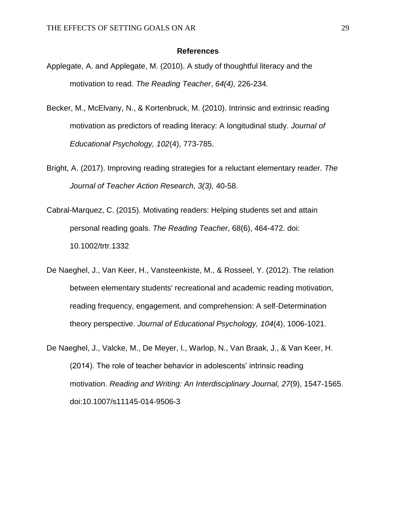#### **References**

- Applegate, A. and Applegate, M. (2010). A study of thoughtful literacy and the motivation to read. *The Reading Teacher*, *64(4),* 226-234.
- Becker, M., McElvany, N., & Kortenbruck, M. (2010). Intrinsic and extrinsic reading motivation as predictors of reading literacy: A longitudinal study. *Journal of Educational Psychology, 102*(4), 773-785.
- Bright, A. (2017). Improving reading strategies for a reluctant elementary reader. *The Journal of Teacher Action Research, 3(3),* 40-58.
- Cabral-Marquez, C. (2015). Motivating readers: Helping students set and attain personal reading goals. *The Reading Teacher*, 68(6), 464-472. doi: 10.1002/trtr.1332
- De Naeghel, J., Van Keer, H., Vansteenkiste, M., & Rosseel, Y. (2012). The relation between elementary students' recreational and academic reading motivation, reading frequency, engagement, and comprehension: A self-Determination theory perspective. *Journal of Educational Psychology, 104*(4), 1006-1021.
- De Naeghel, J., Valcke, M., De Meyer, I., Warlop, N., Van Braak, J., & Van Keer, H. (2014). The role of teacher behavior in adolescents' intrinsic reading motivation. *Reading and Writing: An Interdisciplinary Journal, 27*(9), 1547-1565. doi:10.1007/s11145-014-9506-3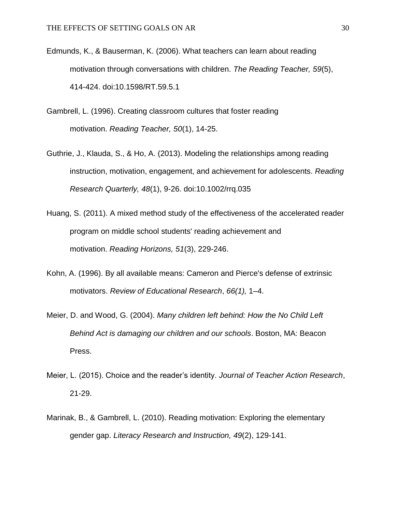- Edmunds, K., & Bauserman, K. (2006). What teachers can learn about reading motivation through conversations with children. *The Reading Teacher, 59*(5), 414-424. doi:10.1598/RT.59.5.1
- Gambrell, L. (1996). Creating classroom cultures that foster reading motivation. *Reading Teacher, 50*(1), 14-25.
- Guthrie, J., Klauda, S., & Ho, A. (2013). Modeling the relationships among reading instruction, motivation, engagement, and achievement for adolescents. *Reading Research Quarterly, 48*(1), 9-26. doi:10.1002/rrq.035
- Huang, S. (2011). A mixed method study of the effectiveness of the accelerated reader program on middle school students' reading achievement and motivation. *Reading Horizons, 51*(3), 229-246.
- Kohn, A. (1996). By all available means: Cameron and Pierce's defense of extrinsic motivators. *Review of Educational Research*, *66(1),* 1–4.
- Meier, D. and Wood, G. (2004). *Many children left behind: How the No Child Left Behind Act is damaging our children and our schools*. Boston, MA: Beacon Press.
- Meier, L. (2015). Choice and the reader's identity. *Journal of Teacher Action Research*, 21-29.
- Marinak, B., & Gambrell, L. (2010). Reading motivation: Exploring the elementary gender gap. *Literacy Research and Instruction, 49*(2), 129-141.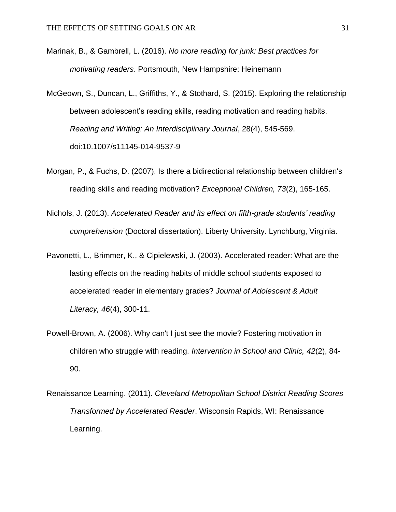- Marinak, B., & Gambrell, L. (2016). *No more reading for junk: Best practices for motivating readers*. Portsmouth, New Hampshire: Heinemann
- McGeown, S., Duncan, L., Griffiths, Y., & Stothard, S. (2015). Exploring the relationship between adolescent's reading skills, reading motivation and reading habits. *Reading and Writing: An Interdisciplinary Journal*, 28(4), 545-569. doi:10.1007/s11145-014-9537-9
- Morgan, P., & Fuchs, D. (2007). Is there a bidirectional relationship between children's reading skills and reading motivation? *Exceptional Children, 73*(2), 165-165.
- Nichols, J. (2013). *Accelerated Reader and its effect on fifth-grade students' reading comprehension* (Doctoral dissertation). Liberty University. Lynchburg, Virginia.
- Pavonetti, L., Brimmer, K., & Cipielewski, J. (2003). Accelerated reader: What are the lasting effects on the reading habits of middle school students exposed to accelerated reader in elementary grades? *Journal of Adolescent & Adult Literacy, 46*(4), 300-11.
- Powell-Brown, A. (2006). Why can't I just see the movie? Fostering motivation in children who struggle with reading. *Intervention in School and Clinic, 42*(2), 84- 90.
- Renaissance Learning. (2011). *Cleveland Metropolitan School District Reading Scores Transformed by Accelerated Reader*. Wisconsin Rapids, WI: Renaissance Learning.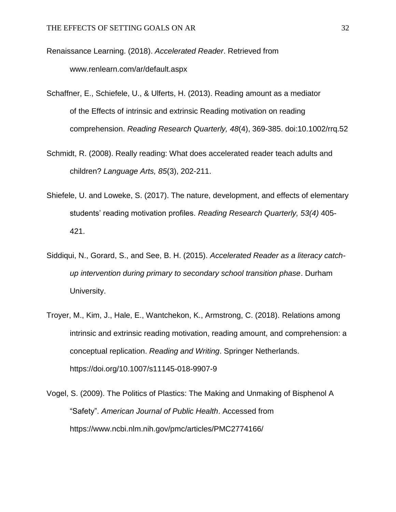Renaissance Learning. (2018). *Accelerated Reader*. Retrieved from www.renlearn.com/ar/default.aspx

- Schaffner, E., Schiefele, U., & Ulferts, H. (2013). Reading amount as a mediator of the Effects of intrinsic and extrinsic Reading motivation on reading comprehension. *Reading Research Quarterly, 48*(4), 369-385. doi:10.1002/rrq.52
- Schmidt, R. (2008). Really reading: What does accelerated reader teach adults and children? *Language Arts, 85*(3), 202-211.
- Shiefele, U. and Loweke, S. (2017). The nature, development, and effects of elementary students' reading motivation profiles. *Reading Research Quarterly, 53(4)* 405- 421.
- Siddiqui, N., Gorard, S., and See, B. H. (2015). *Accelerated Reader as a literacy catchup intervention during primary to secondary school transition phase*. Durham University.
- Troyer, M., Kim, J., Hale, E., Wantchekon, K., Armstrong, C. (2018). Relations among intrinsic and extrinsic reading motivation, reading amount, and comprehension: a conceptual replication. *Reading and Writing*. Springer Netherlands. https://doi.org/10.1007/s11145-018-9907-9
- Vogel, S. (2009). The Politics of Plastics: The Making and Unmaking of Bisphenol A "Safety". *American Journal of Public Health*. Accessed from https://www.ncbi.nlm.nih.gov/pmc/articles/PMC2774166/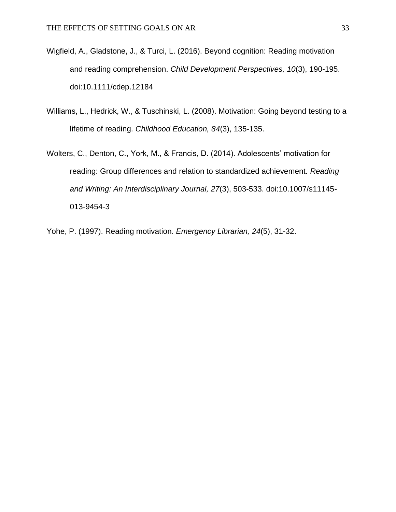- Wigfield, A., Gladstone, J., & Turci, L. (2016). Beyond cognition: Reading motivation and reading comprehension. *Child Development Perspectives, 10*(3), 190-195. doi:10.1111/cdep.12184
- Williams, L., Hedrick, W., & Tuschinski, L. (2008). Motivation: Going beyond testing to a lifetime of reading. *Childhood Education, 84*(3), 135-135.
- Wolters, C., Denton, C., York, M., & Francis, D. (2014). Adolescents' motivation for reading: Group differences and relation to standardized achievement. *Reading and Writing: An Interdisciplinary Journal, 27*(3), 503-533. doi:10.1007/s11145- 013-9454-3
- Yohe, P. (1997). Reading motivation. *Emergency Librarian, 24*(5), 31-32.